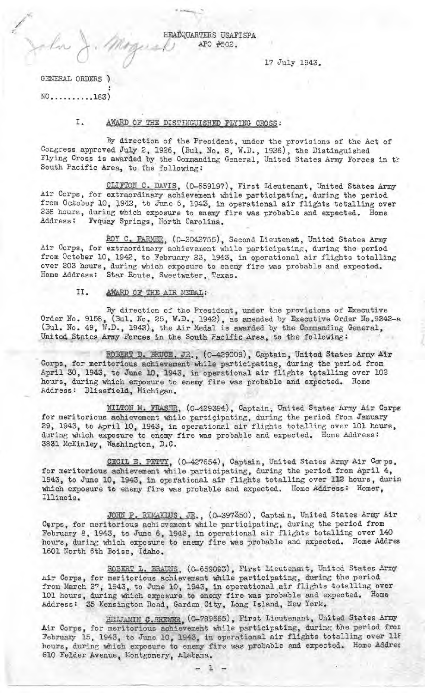HEADQUARTERS USAFISPA APO #502.

17 July 1943.

GENERAL ORDERS )  $NO...$ ........183)

John

#### Ι. AWARD OF THE DISTINGUISHED FLYING CROSS:

By direction of the President, under the provisions of the Act of Congress approved July 2, 1926, (Bul. No. 8, W.D., 1926), the Distinguished Flying Cross is awarded by the Commanding General, United States Army Forces in the South Pacific Area, to the following:

CLIFTON C. DAVIS, (0-659197), First Lieutenant, United States Army Air Corps, for extraordinary achievement while participating, during the period from October 10, 1942, to June 6, 1943, in operational air flights totalling over 238 hours, during which exposure to enemy fire was probable and expected. Home Fvquay Springs, North Carolina. Address:

ROY C. FARMER, (0-2042755), Second Lieutenat, United States Army Air Corps, for extraordinary achievement while participating, during the period from October 10, 1942, to February 23, 1943, in operational air flights totalling over 203 hours, during which exposure to enemy fire was probable and expected. Home Address: Star Route, Sweetwater, Texas.

> AWARD OF THE AIR MEDAL: II.

By direction of the President, under the provisions of Executive Order No. 9158, (3ul. No. 25, W.D., 1942), as amended by Executive Order No. 9242-a (Bul. No. 49, W.D., 1942), the Air Medal is awarded by the Commanding General, United States Army Forces in the South Facific Area, to the

ROBERT D. BRUCE, JR., (0-429009), Captain, United States Army Air Corps, for meritorious achievement while participating, during the period from April 30, 1943, to June 10, 1943, in operational air flights totalling over 102 hours, during which exposure to enemy fire was probable and expected. Home Address: Blissfield, Michigan.

**WILTON M. FRASER, (0-429394), Captain, United States Army Air Corps** for meritorious achievement while participating, during the period from January 29, 1943, to April 10, 1943, in operational air flights totalling over 101 hours, during which exposure to enemy fire was probable and expected. Home Address: 3831 McKinley, Washington, D.C.

CECIL E. PETTY, (0-427654), Captain, United States Army Air Corps, for meritorious achievement while participating, during the period from April 4, 1943, to June 10, 1943, in operational air flights totalling over 112 hours, durin which exposure to enemy fire was probable and expected. Home Address: Homer, Illinois.

JOHN P. REMAKLUS, JR., (0-397350), Captain, United States Army Air Corps, for meritorious achievement while participating, during the period from February 8, 1943, to June 6, 1943, in operational air flights totalling over 140 hours, during which exposure to enemy fire was probable and expected. Home Addres 1601 North 6th Boise, Idaho.

ROBERT L. BRAUNS, (0-659093), First Lieutenant, United States Army Air Corps, for meritorious achievement while participating, during the period<br>from March 27, 1943, to June 10, 1943, in operational air flights totalling over<br>101 hours, during which exposure to enemy fire was probable and Address: 35 Kensington Road, Garden City, Long Island, New York.

SIMJAMIN C. REWER, (0-789665), First Lieutenant, United States Army<br>Air Corps, for meritorious achievement while participating, during the period from February 15, 1943, to June 10, 1943, in operational air flights totalling over 118 hours, during which exposure to enemy fire was probable and expected. Home Addres 610 Felder Avenue, Montgomery, Alabama.

 $\mathbf{1}$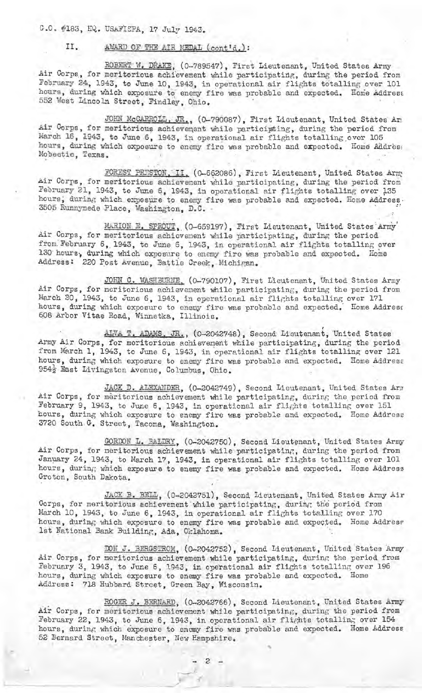G.O. #183, EQ. USAFISPA, 17 July 1943.

### II. AWARD OF THE AIR MEDAL (cont'd.):

ROBERT W. DRAKE; (0-789547), First Lieutenant, United States Army Air Corps, for meritorious achievement while participating, during the period from February 24, 1943, to June 10, 1943, in operational air flights totalling over 101 hours, during which exposure to enemy fire was probable and expected. Home Addrest 552 West Lincoln Street, Findley, Ohio.

JOHN McCARROLl., JR., (0-790087), First Lieutenant, United States Ari Air Corps, for meritorious achievement while participting, during the period from March 16, 1943, to June 6, 1943, in operational air flights totalling over 105 hours, during which exposure to enemy fire was probable and expected. Home Addres: Mobectie, Texas.

FOREST PRESTON. II. (0-662086), First Lieutenant, United States Arm Air Corps, for meritorious achievement while participating, during the period from February 21, 1943, to June 6, 1943, in operational air flights totalling over 135 hours; during which expesure to enemy fire was probable and expected. Home Address. 3505 Runnymede Place, Washington, D.C.

MARION E. SPROUT, (0-659197), First Lieutenant, United States Army' Air Corps, for meritorious achievement while participating, during the period from. February 6, 1943, to June 6, 1943, in operational air flights totalling over 130 hours, during which exposure to enemy fire was probable and expected. Home Address: 220 Post Avenue, Battle Creek, Michigan.

JOHN C. WASHEURNE, (0-790107), First Lieutenant, United States Army Air Corps, for neritorious achievement while participating, during the period from March 20, 1943, to June 6, 1943, in operational air flights totalling over 171 hours, during which exposure to enemy fire was probable and expected. Home Address 608 Arbor Vitae Road, Winnetka, Illinois.

ALVA T. ADAMS, JR., (0-2042748), Second Lieutenant, United States Army Air Corps, for meritorious achievement while participating, during the period from March 1, 1943, to June 6, 1943, in operational air flights totalling over 121 hours, during which exposure to enemy fire was probable and expected. Home Address 954<sup>}</sup> East Livingston Avenue, Columbus, Ohio.

JACK D. ALEXANDER, (0-2042749), Second Lieutenant, United States Arm Air Corps, for meritorious achievement while participating, during the period from February 9, 1943, to June 6, 1943, in operational air flights totalling over 151 hours, during which exposure to enemy fire was probable and expected. Home Address 3720 South G. Street, Tacoma, Washington.

GORDON L. BALDRY, (0-2042750), Second Lieutenant, United States Army Air Corps, for meritorious achievement while participating, during the period from January 24, 1943, to March 17, 1943, in operational air flights totalling over 101 hours, during which exposure to enemy fire was probable and expected. Home Address Groton, South Dakota.

JACK B. BELL, (0-2042751), Second Lieutenant, United States Army Air Corps, for meritorious achi evement ·while participating, during the period from March 10, 1943, to June 6, 1943, in operational air flights totalling over 170 hours, during which exposure to enemy fire was probable and expected. Home Address 1st ~ational Bank Building, Ada, Oklah oma. ·

DON J. BERGSTROM, (0-2042752), Second Lieutenant, United States Army Air Corps, for meritorious achievement while participating, during the period from February 3, 1943, to June 6, 1943, in operational air flights totalling over 196 hours, during which exposure to enemy fire was probable and expected. Home Address: 718 Hubbard Street, Green Bay, Wisconsin.

ROGER J. BERNARD, (0-2042766), Second Lieutenant, United States Army Air Corps, for meritorious achievement while participating, during the period from February 22, 1943, to June 6, 1943, in operational air flights totalling over 154 hours, during which exposure to enemy fire was probable and expected. Home Address 52 Bernard Streat, Manchester, New Hampshire,

 $\boldsymbol{c}$ 

*-t*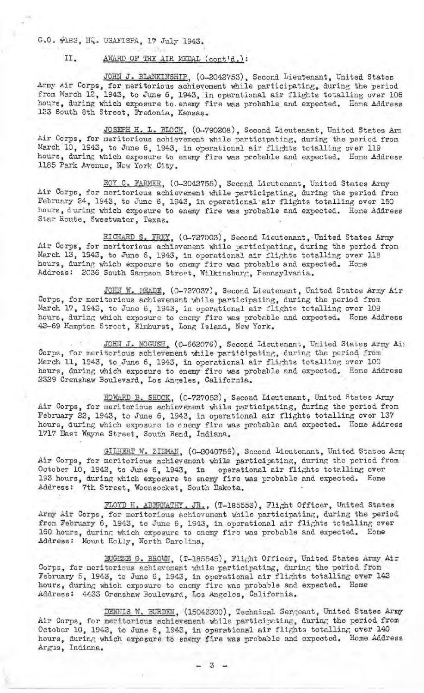### G.O. #183, HQ. USAFISPA, 17 July 1943.

# II. AWARD OF THE AIR MEDAL (cont'd.):

JOHN J. BLANKINSHIP, (0-2042753), Second Lieutenant, United States Army Air Corps, for meritorious achievement while participating, during the period from March 12, 1943, to June 6, 1943, in operational air flights totalling over 106 hours, during which exposure to enemy fire was probable and expected. Home Address 123 South 8th Street, Fredonia, Kansaş.

JOSEPH H. L. BLOCK, (0-790208), Second Lieutenant, United States Arm Air Corps, for meritorious achievement while participating, during the period from March 10, 1943, to June 6, 1943, in operational air flights totalling over 119 hours, during which exposure to enemy fire was probable and expected. Home Address 1185 Park Avenue, New York City.

ROY C. FARMER, (0-2042755), Second Lieutenant, United States Army Air Corps, for meritorious achievement while participating, during the period from February 24, 1943, to June 6, 1943, in operational air flights totalling over 150 hours, during which exposure to enemy fire was probable and expected. Home Address Star Route, Sweetwater, Texas.

RICHARD S. FREY, (0-727003), Second Lieutenant, United States Army Air Corps, for meritorious achievenent while participating, during the period from March 13, 1943, to June 6, 1943, in operational air flights totalling over 118 hours, during which exposure to enemy fire was probable and expected. Home Address: 2036 South Sampson Street, Wilkinsburg, Pennsylvania.

JOHN W. IEADE, (0-727037), Second Lieutenant, United States Army Air Corps, for meritorious achievement while participating, during the period from March 17, 1943, to June 6, 1943, in operational air flights totalling over 108 hours, during which exposure to enemy fire was probable and expected. Home Address 42-69 Hampton Stroot, Elmhurst, Long Island, New York.

JOHN J. MOGUSH (0-662076), Second Lieutenant, United States Army Ai: Corps, for meritorious achievement while participating, during the period from<br>March 11, 1943, to June 6, 1943, in operational air flights totalling over 100 hours, during which exposure to enemy fire was probable and expected. Home Address 2329 Crenshaw Boulevard, Los Angeles, California.

HOWARD B. SHOOK, (0-727052), Second Lieutenant, United States Army Air Corps, for meritorious achievement while participating, during the period from February 22, 1943, to June 6, 1943, in operational air flights totalling over 137 hours, during which exposure to enemy fire was probable and expected. Home Address 1717 East Wayne Street, South Bend, Indiana.

GILBERT W. ZIEMAN, (0-2040756), Second Lieutenant, United States Arm; Air Corps, for meritorious achievement while participating, during the period from October 10, 1942, to June 6, 1943, in operational air flights totalling over 193 hours, during which exposure to enemy fire was probable and expected. Home Address: 7th Street, Woonsocket, South Dakota.

FLOYD H. ABERNATHY, JR., (T-185553), Flight Officer, United States Army Air Corps, for meritorious achievement while participating, during the period from February 6, 1943, to June 6, 1943, in operational air flights totalling over 160 hours, during which exposure to enemy fire was probable and expected. Home Address: Mount Holly, North Carolina.

**EUGENE G. BROWN, (T-185545), Flight Officer, United States Army Air** Corps, for meritorious achievement while participating, during the period from February 5, 1943, to June 6, 1943, in operational air flights totalling over 142 hours, during which exposure to enemy fire was probable and expected. Home Address: 4433 Crenshaw Boulevard, Los Angeles, California.

DENNIS W. BURDEN, (15043300), Technical Sergeant, United States Army Air Corps, for meritorious achievement while participating, during the period from October 10, 1942, to June 6, 1943, in operational air flights totalling over 140 hours, during which exposure to enemy fire was probable and expected. Home Address Argus, Indiana.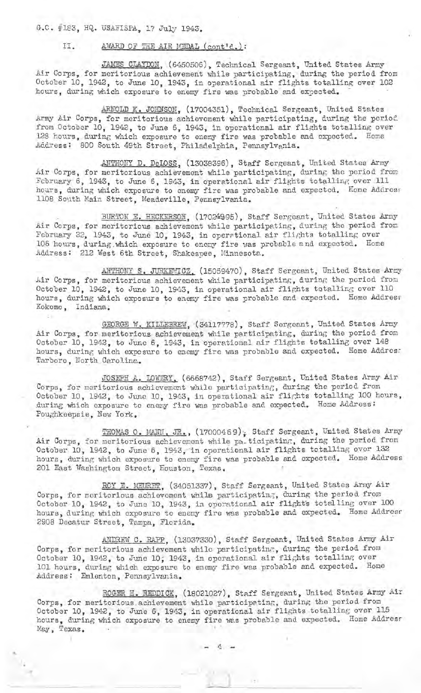G.C. #183, HQ. USAFISPA, 17 July 1943.

#### AWARD OF THE AIR MEDAL (cont'd.): II.

JAMES CLAYDON, (6450506), Technical Sergeant, United States Army Air Corps, for meritorious achievement while participating, during the period from October 10, 1942, to June 10, 1943, in operational air flights totalling over 102 hours, during which exposure to enemy fire was probable and expected.

ARNOLD K. JOHNSON, (17004351), Technical Sergeant, United States Army Air Corps, for meritorious achievement while participating, during the period from October 10, 1942, to June 6, 1943, in operational air flights totalling over 128 hours, during which exposure to enemy fire was probable and expected. Home Address: 800 South 49th Street, Philadelphia, Pennsylvania.

ANTHONY D. DeLOSS, (13038396), Staff Sergeant, United States Army Air Corps, for meritorious achievement while participating, during the period from February 6, 1943, to June 6, 1943, in operational air flights totalling over 111 hours, during which exposure to enemy fire was probable and expected. Home Address 1108 South Main Street, Meadeville, Pennsylvania.

BURTON E. HECKERSON, (17024995), Staff Sergeant, United States Army Air Corps, for meritorious achievement while participating, during the period from February 22, 1943, to June 10, 1943, in operational air flights totalling over 106 hours, during which exposure to enemy fire was probable and expected. Home Address: 212 West 6th Street, Shakespee, Minnesota.

ANTHONT S. JURKENICZ. (15059470), Staff Sergeant, United States Army Air Corps, for meritorious achievement while participating, during the period from October 10, 1942, to June 10, 1943, in operational air flights totalling over 110 hours, during which exposure to enemy fire was probable and expected. Home Address Kokomo, Indiana.

GEORGE W. KILLEREW, (34117778), Staff Sergeant, United States Army Air Corps, for meritorious achievement while participating, during the period from October 10, 1942, to June 6, 1943, in operational air flights totalling over 148 hours, during which exposure to enemy fire was probable and expected. Home Addres: Tarboro, North Carolina.

JOSEFH A. LOWERY, (6668742), Staff Sergeant, United States Army Air Corps, for meritorious achievement while participating, during the period from October 10, 1942, to June 10, 1943, in operational air flights totalling 100 hours, during which exposure to enemy fire was probable and expected. Home Address: Poughkeepsie, New York.

THOMAS O. MANN, JR., (17000469); Staff Sergeant, United States Army Air Corps, for meritorious achievement while pa. ticipating, during the period from October 10, 1942, to June 6, 1943, in operational air flights totalling over 132 hours, during which exposure to enemy fire was probable and expected. Home Address 201 East Washington Street, Houston, Texas.

ROY E. MEURET, (34051337), Staff Sergeant, United States Army Air Corps, for meritorious achievement while participating, during the period from<br>October 10, 1942, to June 10, 1943, in operational air flights totalling over 100<br>hours, during which exposure to enemy fire was probable and e 2908 Decatur Street, Tampa, Florida.

ANDREW C. RAPP, (13037330), Staff Sergeant, United States Army Air Corps, for meritorious achievement while participating, during the period from October 10, 1942, to June 10, 1943, in operational air flights totalling over 101 hours, during which exposure to enemy fire was probable and expected. Home<br>Address: Emlenton, Pennsylvania.

ROGER H. REDDICK, (18021027), Staff Sergeant, United States Army Air Corps, for meritorious achievement while participating, during the period from October 10, 1942, to June 6, 1943, in operational air flights totalling over 115 hours, during which exposure to enemy fire was probable and expected. Home Address May, Texas.

 $4.1$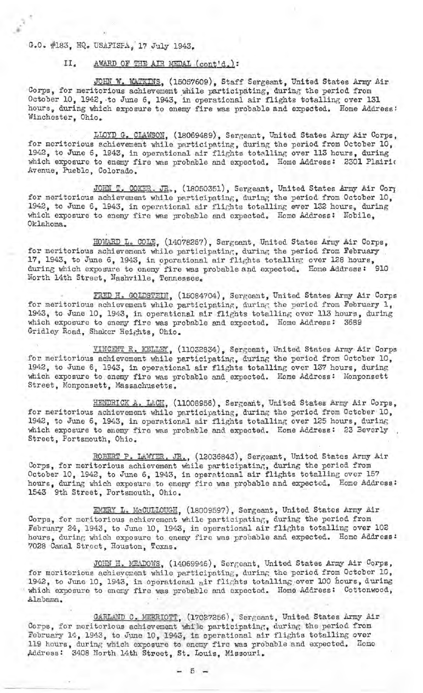# G.O. #183, HQ. USAFISFA, 17 July 1943.

### II. AWARD OF THE AIR MEDAL (cont'd.):

JOHN W. WATKINS, (15057609), Staff Sergeant, United States Army Air Corps, for meritorious achievement while participating, during the period from October 10, 1942, to June 6, 1943, in operational air flights totalling over 131 hours, during which exposure to enemy fire was probable and expected. Home Address: Winchester, Ohio.

LLOYD G. CLAWSON, (18069489), Sergeant, United States Army Air Corps, for meritorious achievement while participating, during the period from October 10, 1942, to June 6, 1943, in operational air flights totalling over 113 hours, during which exposure to enemy fire was probable and expected. Home Address: 2301 Plairic Avenue, Pueblo, Colorado.

JOHN T. COKER. JR., (18050351), Sergeant, United States Army Air Corp for meritorious achievement while participating, during the period from October 10, 1942, to June 6, 1943, in operational air flights totalling over 132 hours, during which exposure to enemy fire was probable and expected. Home Address: Nobile, Oklahoma.

HOWARD L. COLE, (14078267), Sergeant, United States Army Air Corps, for meritorious achievement while participating, during the period from February 17, 1943, to June 6, 1943, in operational air flights totalling over 128 hours, during which exposure to enemy fire was probable and expected. Home Address: 910 North 14th Street, Nashville, Tennessee.

FRED H. GOLDSTEIN, (15084704), Sergeant, United States Army Air Corps for meritorious achievement while participating, during the period from February 1, 1943, to June 10, 1943, in operational air flights totalling over 113 hours, during which exposure to enemy fire was probable and expected. Home Address: 3689 Gridley Road, Shaker Heights, Ohio.

VINCENT R. KELLEY, (11032834), Sergeant, United States Army Air Corps for meritorious achievement while participating, during the period from October 10, 1942, to June 6, 1943, in operational air flights totalling over 137 hours, during which exposure to enemy fire was probable and expected. Home Address: Monponsett Street, Monponsett, Massachusetts.

HENDRICK A. LACH, (11008956), Sergeant, United States Army Air Corps, for meritorious achievement while participating, during the period from October 10, 1942, to June 6, 1943, in operational air flights totalling over 125 hours, during which exposure to enemy fire was probable and expected. Home Address: 23 Beverly, Street, Portsmouth, Ohio.

ROBERT P. LAWYER. JR., (12036843), Sergeant, United States Army Air Corps, for meritorious achievement while participating, during the period from October 10, 1942, to June 6, 1943, in operational air flights totalling over 157 hours, during which exposure to energ fire was probable and expected. Home Address: 1543 9th Street, Portsmouth, Ohio.

EMERY L. McCULLOUGH, (18009597), Sergeant, United States Army Air Corps, for meritorious achievement while participating, during the period from February 24, 1943, to June 10, 1943, in operational air flights totalling over 102 hours, during which exposure to enemy fire was probable and expected. Home Address: 7028 Canal Street, Houston, Texas.

JOHN H. MIDADOWS, (14069946), Sor?,eant, UnitBd States Army **Air** Corps, for mori torious achievement while participating., during the period from October 10, 1942, to June 10, 1943, in operational air flights totalling over 100 hours, during which exposure to enemy fire was probable and expected. Home Address: Cottonwood, Alabama.

GARLAND C. MERRIOTT, (17027256), Sergeant, United States Army Air Corps, for meritorious achievement while participating, during the period from February 14, 1943, to June 10, 1943, in operational air flights totalling over 119 hours, during which exposure to enemy fire was probable and expected. Home Address: 3408 North 14th Street, St. Louis, Missouri.

 $- 5 -$